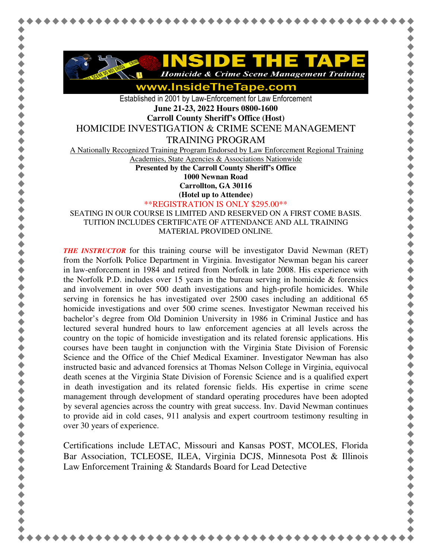

www.InsideTheTape.com

Established in 2001 by Law-Enforcement for Law Enforcement **June 21-23, 2022 Hours 0800-1600** 

**Carroll County Sheriff's Office (Host)** 

HOMICIDE INVESTIGATION & CRIME SCENE MANAGEMENT

TRAINING PROGRAM

A Nationally Recognized Training Program Endorsed by Law Enforcement Regional Training

Academies, State Agencies & Associations Nationwide

**Presented by the Carroll County Sheriff's Office** 

**1000 Newnan Road** 

**Carrollton, GA 30116 (Hotel up to Attendee)**

\*\*REGISTRATION IS ONLY \$295.00\*\*

SEATING IN OUR COURSE IS LIMITED AND RESERVED ON A FIRST COME BASIS. TUITION INCLUDES CERTIFICATE OF ATTENDANCE AND ALL TRAINING MATERIAL PROVIDED ONLINE.

*THE INSTRUCTOR* for this training course will be investigator David Newman (RET) from the Norfolk Police Department in Virginia. Investigator Newman began his career in law-enforcement in 1984 and retired from Norfolk in late 2008. His experience with the Norfolk P.D. includes over 15 years in the bureau serving in homicide  $\&$  forensics and involvement in over 500 death investigations and high-profile homicides. While serving in forensics he has investigated over 2500 cases including an additional 65 homicide investigations and over 500 crime scenes. Investigator Newman received his bachelor's degree from Old Dominion University in 1986 in Criminal Justice and has lectured several hundred hours to law enforcement agencies at all levels across the country on the topic of homicide investigation and its related forensic applications. His courses have been taught in conjunction with the Virginia State Division of Forensic Science and the Office of the Chief Medical Examiner. Investigator Newman has also instructed basic and advanced forensics at Thomas Nelson College in Virginia, equivocal death scenes at the Virginia State Division of Forensic Science and is a qualified expert in death investigation and its related forensic fields. His expertise in crime scene management through development of standard operating procedures have been adopted by several agencies across the country with great success. Inv. David Newman continues to provide aid in cold cases, 911 analysis and expert courtroom testimony resulting in over 30 years of experience.

Certifications include LETAC, Missouri and Kansas POST, MCOLES, Florida Bar Association, TCLEOSE, ILEA, Virginia DCJS, Minnesota Post & Illinois Law Enforcement Training & Standards Board for Lead Detective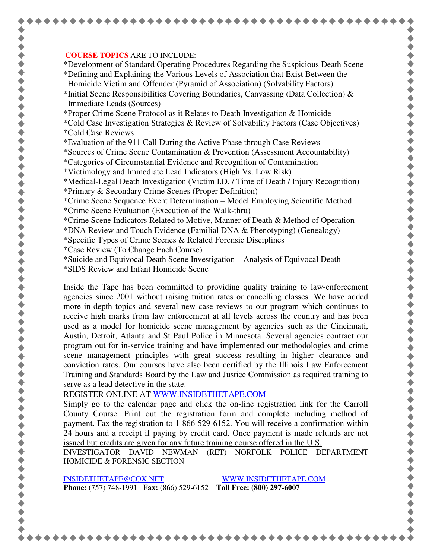## **COURSE TOPICS** ARE TO INCLUDE:

\*Development of Standard Operating Procedures Regarding the Suspicious Death Scene \*Defining and Explaining the Various Levels of Association that Exist Between the Homicide Victim and Offender (Pyramid of Association) (Solvability Factors)

\*Initial Scene Responsibilities Covering Boundaries, Canvassing (Data Collection)  $\&$ Immediate Leads (Sources)

\*Proper Crime Scene Protocol as it Relates to Death Investigation & Homicide

- \*Cold Case Investigation Strategies & Review of Solvability Factors (Case Objectives) \*Cold Case Reviews
- \*Evaluation of the 911 Call During the Active Phase through Case Reviews

\*Sources of Crime Scene Contamination & Prevention (Assessment Accountability)

- \*Categories of Circumstantial Evidence and Recognition of Contamination
- \*Victimology and Immediate Lead Indicators (High Vs. Low Risk)

\*Medical-Legal Death Investigation (Victim I.D. / Time of Death / Injury Recognition)

- \*Primary & Secondary Crime Scenes (Proper Definition)
- \*Crime Scene Sequence Event Determination Model Employing Scientific Method \*Crime Scene Evaluation (Execution of the Walk-thru)
- \*Crime Scene Indicators Related to Motive, Manner of Death & Method of Operation

\*DNA Review and Touch Evidence (Familial DNA & Phenotyping) (Genealogy)

- \*Specific Types of Crime Scenes & Related Forensic Disciplines
- \*Case Review (To Change Each Course)
- \*Suicide and Equivocal Death Scene Investigation Analysis of Equivocal Death
- \*SIDS Review and Infant Homicide Scene

Inside the Tape has been committed to providing quality training to law-enforcement agencies since 2001 without raising tuition rates or cancelling classes. We have added more in-depth topics and several new case reviews to our program which continues to receive high marks from law enforcement at all levels across the country and has been used as a model for homicide scene management by agencies such as the Cincinnati, Austin, Detroit, Atlanta and St Paul Police in Minnesota. Several agencies contract our program out for in-service training and have implemented our methodologies and crime scene management principles with great success resulting in higher clearance and conviction rates. Our courses have also been certified by the Illinois Law Enforcement Training and Standards Board by the Law and Justice Commission as required training to serve as a lead detective in the state.

REGISTER ONLINE AT WWW.INSIDETHETAPE.COM

Simply go to the calendar page and click the on-line registration link for the Carroll County Course. Print out the registration form and complete including method of payment. Fax the registration to 1-866-529-6152. You will receive a confirmation within 24 hours and a receipt if paying by credit card. Once payment is made refunds are not issued but credits are given for any future training course offered in the U.S.

INVESTIGATOR DAVID NEWMAN (RET) NORFOLK POLICE DEPARTMENT HOMICIDE & FORENSIC SECTION

INSIDETHETAPE@COX.NET WWW.INSIDETHETAPE.COM **Phone:** (757) 748-1991 **Fax:** (866) 529-6152 **Toll Free: (800) 297-6007**